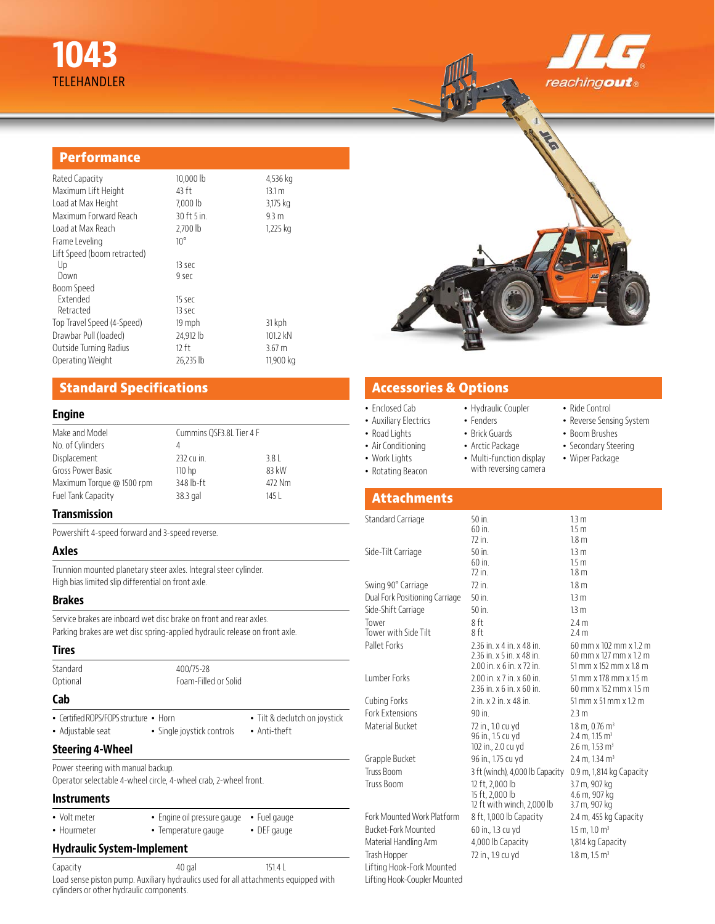# **1043** TELEHANDLER



• Ride Control • Reverse Sensing System • Boom Brushes • Secondary Steering • Wiper Package

## **Performance**

| Rated Capacity              | 10,000 lb    | 4,536 kg          |
|-----------------------------|--------------|-------------------|
| Maximum Lift Height         | 43 ft        | 13.1 m            |
| Load at Max Height          | 7,000 lb     | 3,175 kg          |
| Maximum Forward Reach       | 30 ft 5 in.  | 9.3 <sub>m</sub>  |
| Load at Max Reach           | $2.700$ lb   | 1,225 kg          |
| Frame Leveling              | $10^{\circ}$ |                   |
| Lift Speed (boom retracted) |              |                   |
| Up                          | 13 sec       |                   |
| Down                        | 9 sec        |                   |
| Boom Speed                  |              |                   |
| Extended                    | 15 sec       |                   |
| Retracted                   | 13 sec       |                   |
| Top Travel Speed (4-Speed)  | 19 mph       | 31 kph            |
| Drawbar Pull (loaded)       | 24,912 lb    | 101.2 kN          |
| Outside Turning Radius      | $12$ ft      | 3.67 <sub>m</sub> |
| Operating Weight            | 26.235 lb    | 11,900 kg         |



• Brick Guards • Arctic Package • Multi-function display with reversing camera

# **Standard Specifications**

## **Engine**

| Make and Model            | Cummins QSF3.8L Tier 4 F |        |
|---------------------------|--------------------------|--------|
| No. of Cylinders          | 4                        |        |
| Displacement              | 232 cu in.               | 3.8    |
| Gross Power Basic         | 110 <sub>hp</sub>        | 83 kW  |
| Maximum Torque @ 1500 rpm | 348 lb-ft                | 472 Nm |
| Fuel Tank Capacity        | 38.3 gal                 | 145 I  |
|                           |                          |        |

## **Transmission**

Powershift 4-speed forward and 3-speed reverse.

## **Axles**

Trunnion mounted planetary steer axles. Integral steer cylinder. High bias limited slip differential on front axle.

### **Brakes**

Service brakes are inboard wet disc brake on front and rear axles. Parking brakes are wet disc spring-applied hydraulic release on front axle.

| <b>Tires</b>                                                                                           |                                                    |                                               | PAIRL FULKS                                                                |  |
|--------------------------------------------------------------------------------------------------------|----------------------------------------------------|-----------------------------------------------|----------------------------------------------------------------------------|--|
| Standard<br>Optional                                                                                   | 400/75-28<br>Foam-Filled or Solid                  |                                               | Lumber Forks                                                               |  |
| Cab                                                                                                    |                                                    |                                               | Cubing Forks                                                               |  |
| • Certified ROPS/FOPS structure • Horn<br>• Adjustable seat                                            | • Single joystick controls                         | • Tilt & declutch on joystick<br>• Anti-theft | <b>Fork Extensions</b><br>Material Bucket                                  |  |
| <b>Steering 4-Wheel</b>                                                                                |                                                    |                                               |                                                                            |  |
| Power steering with manual backup.<br>Operator selectable 4-wheel circle, 4-wheel crab, 2-wheel front. |                                                    |                                               | Grapple Bucket<br>Truss Boom<br>Truss Boom                                 |  |
| <b>Instruments</b>                                                                                     |                                                    |                                               |                                                                            |  |
| • Volt meter<br>• Hourmeter                                                                            | · Engine oil pressure gauge<br>• Temperature gauge | • Fuel gauge<br>• DEF gauge                   | Fork Mounted Work Platform<br>Bucket-Fork Mounted<br>Material Handling Arm |  |
| <b>Hydraulic System-Implement</b>                                                                      |                                                    |                                               | Trash Hopper                                                               |  |
| Capacity                                                                                               | 40 gal                                             | 151.4 L                                       | Lifting Hook-Fork Mounted                                                  |  |

Capacity 151.4 L Load sense piston pump. Auxiliary hydraulics used for all attachments equipped with cylinders or other hydraulic components.

## **Accessories & Options**

- Enclosed Cab • Hydraulic Coupler • Fenders
- Auxiliary Electrics
- Road Lights
- Air Conditioning
- Work Lights
- Rotating Beacon

## **Attachments**

Lifting Hook-Coupler Mounted

| 50 in.                          | 1.3 <sub>m</sub>                                                                                                                                                                                                                                                                                                                                                                 |
|---------------------------------|----------------------------------------------------------------------------------------------------------------------------------------------------------------------------------------------------------------------------------------------------------------------------------------------------------------------------------------------------------------------------------|
|                                 | 1.5 <sub>m</sub>                                                                                                                                                                                                                                                                                                                                                                 |
|                                 | 1.8 <sub>m</sub>                                                                                                                                                                                                                                                                                                                                                                 |
|                                 | 1.3 <sub>m</sub>                                                                                                                                                                                                                                                                                                                                                                 |
|                                 | 1.5 <sub>m</sub><br>1.8 <sub>m</sub>                                                                                                                                                                                                                                                                                                                                             |
|                                 |                                                                                                                                                                                                                                                                                                                                                                                  |
|                                 | 1.8 <sub>m</sub>                                                                                                                                                                                                                                                                                                                                                                 |
|                                 | 1.3 <sub>m</sub>                                                                                                                                                                                                                                                                                                                                                                 |
|                                 | 13 <sub>m</sub>                                                                                                                                                                                                                                                                                                                                                                  |
| 8 ft                            | 2.4 <sub>m</sub>                                                                                                                                                                                                                                                                                                                                                                 |
|                                 | 2.4 m                                                                                                                                                                                                                                                                                                                                                                            |
| 2.36 in. x 4 in. x 48 in.       | 60 mm x 102 mm x 1.2 m                                                                                                                                                                                                                                                                                                                                                           |
|                                 | 60 mm x 127 mm x 1.2 m                                                                                                                                                                                                                                                                                                                                                           |
|                                 | 51 mm x 152 mm x 1.8 m                                                                                                                                                                                                                                                                                                                                                           |
|                                 | 51 mm x 178 mm x 1.5 m                                                                                                                                                                                                                                                                                                                                                           |
|                                 | 60 mm x 152 mm x 1.5 m                                                                                                                                                                                                                                                                                                                                                           |
|                                 | 51 mm x 51 mm x 1.2 m                                                                                                                                                                                                                                                                                                                                                            |
|                                 | 2.3 m                                                                                                                                                                                                                                                                                                                                                                            |
| 72 in., 1.0 cu yd               | $1.8$ m, 0.76 m <sup>3</sup>                                                                                                                                                                                                                                                                                                                                                     |
|                                 | $2.4 \text{ m}$ , 1.15 m <sup>3</sup>                                                                                                                                                                                                                                                                                                                                            |
|                                 | $2.6$ m, 1.53 m <sup>3</sup>                                                                                                                                                                                                                                                                                                                                                     |
|                                 | $2.4$ m, $1.34$ m <sup>3</sup>                                                                                                                                                                                                                                                                                                                                                   |
| 3 ft (winch), 4,000 lb Capacity | 0.9 m, 1,814 kg Capacity                                                                                                                                                                                                                                                                                                                                                         |
| 12 ft, 2,000 lb                 | 3.7 m, 907 kg                                                                                                                                                                                                                                                                                                                                                                    |
| 15 ft, 2,000 lb                 | 4.6 m, 907 kg                                                                                                                                                                                                                                                                                                                                                                    |
|                                 | 3.7 m, 907 kg                                                                                                                                                                                                                                                                                                                                                                    |
|                                 | 2.4 m, 455 kg Capacity                                                                                                                                                                                                                                                                                                                                                           |
| 60 in., 1.3 cu yd               | $1.5$ m, $1.0$ m <sup>3</sup>                                                                                                                                                                                                                                                                                                                                                    |
| 4,000 lb Capacity               | 1,814 kg Capacity                                                                                                                                                                                                                                                                                                                                                                |
| 72 in., 1.9 cu yd               | $1.8 \text{ m}$ , $1.5 \text{ m}^3$                                                                                                                                                                                                                                                                                                                                              |
|                                 | $60$ in.<br>72 in.<br>50 in.<br>60 in.<br>72 in.<br>72 in.<br>50 in.<br>$50$ in.<br>8 ft<br>2.36 in. x 5 in. x 48 in.<br>$2.00$ in. x 6 in. x 72 in.<br>$2.00$ in. x 7 in. x 60 in.<br>2.36 in. x 6 in. x 60 in.<br>2 in. x 2 in. x 48 in.<br>$90$ in.<br>96 in., 1.5 cu yd<br>102 in., 2.0 cu yd<br>96 in., 1.75 cu yd<br>12 ft with winch, 2,000 lb<br>8 ft, 1,000 lb Capacity |